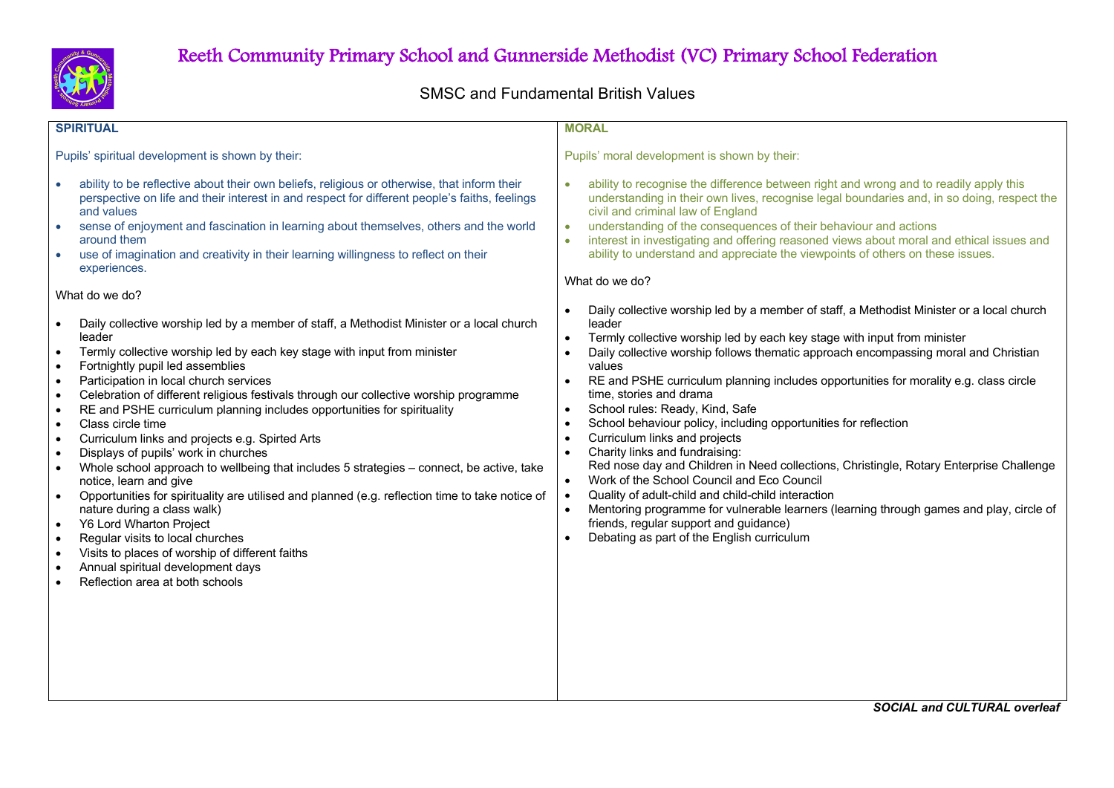

## Reeth Community Primary School and Gunnerside Methodist (VC) Primary School Federation

## SMSC and Fundamental British Values